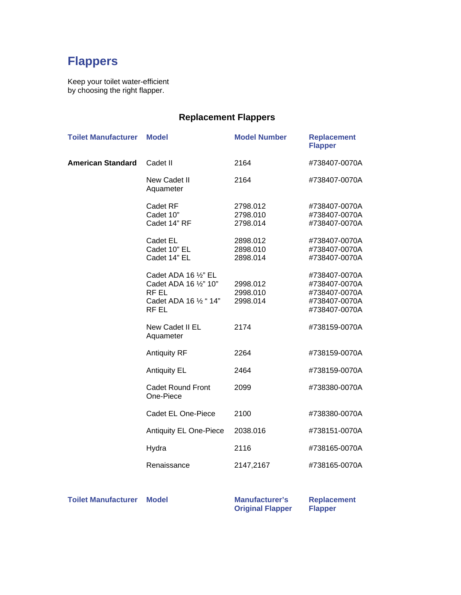## **Flappers**

Keep your toilet water-efficient by choosing the right flapper.

## **Replacement Flappers**

| <b>Toilet Manufacturer</b> | <b>Model</b>                                                                              | <b>Model Number</b>              | <b>Replacement</b><br><b>Flapper</b>                                              |
|----------------------------|-------------------------------------------------------------------------------------------|----------------------------------|-----------------------------------------------------------------------------------|
| <b>American Standard</b>   | Cadet II                                                                                  | 2164                             | #738407-0070A                                                                     |
|                            | New Cadet II<br>Aquameter                                                                 | 2164                             | #738407-0070A                                                                     |
|                            | Cadet RF<br>Cadet 10"<br>Cadet 14" RF                                                     | 2798.012<br>2798.010<br>2798.014 | #738407-0070A<br>#738407-0070A<br>#738407-0070A                                   |
|                            | Cadet EL<br>Cadet 10" EL<br>Cadet 14" EL                                                  | 2898.012<br>2898.010<br>2898.014 | #738407-0070A<br>#738407-0070A<br>#738407-0070A                                   |
|                            | Cadet ADA 16 1/2" EL<br>Cadet ADA 16 1/2" 10"<br>RF EL<br>Cadet ADA 16 1/2 " 14"<br>RF EL | 2998.012<br>2998.010<br>2998.014 | #738407-0070A<br>#738407-0070A<br>#738407-0070A<br>#738407-0070A<br>#738407-0070A |
|                            | New Cadet II EL<br>Aquameter                                                              | 2174                             | #738159-0070A                                                                     |
|                            | <b>Antiquity RF</b>                                                                       | 2264                             | #738159-0070A                                                                     |
|                            | <b>Antiquity EL</b>                                                                       | 2464                             | #738159-0070A                                                                     |
|                            | <b>Cadet Round Front</b><br>One-Piece                                                     | 2099                             | #738380-0070A                                                                     |
|                            | <b>Cadet EL One-Piece</b>                                                                 | 2100                             | #738380-0070A                                                                     |
|                            | <b>Antiquity EL One-Piece</b>                                                             | 2038.016                         | #738151-0070A                                                                     |
|                            | Hydra                                                                                     | 2116                             | #738165-0070A                                                                     |
|                            | Renaissance                                                                               | 2147,2167                        | #738165-0070A                                                                     |

**Toilet Manufacturer Model Manufacturer's Manufacturer's** 

**Original Flapper** 

**Replacement Flapper**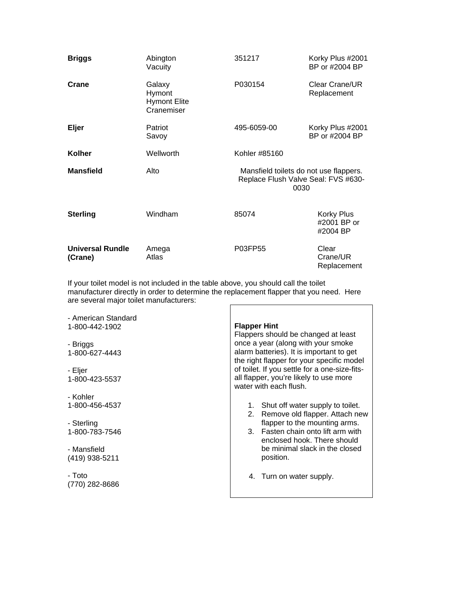| <b>Briggs</b>                      | Abington<br>Vacuity                                   | 351217                                                                                | Korky Plus #2001<br>BP or #2004 BP    |
|------------------------------------|-------------------------------------------------------|---------------------------------------------------------------------------------------|---------------------------------------|
| Crane                              | Galaxy<br>Hymont<br><b>Hymont Elite</b><br>Cranemiser | P030154                                                                               | Clear Crane/UR<br>Replacement         |
| Eljer                              | Patriot<br>Savoy                                      | 495-6059-00                                                                           | Korky Plus #2001<br>BP or #2004 BP    |
| Kolher                             | Wellworth                                             | Kohler #85160                                                                         |                                       |
| <b>Mansfield</b>                   | Alto                                                  | Mansfield toilets do not use flappers.<br>Replace Flush Valve Seal: FVS #630-<br>0030 |                                       |
| <b>Sterling</b>                    | Windham                                               | 85074                                                                                 | Korky Plus<br>#2001 BP or<br>#2004 BP |
| <b>Universal Rundle</b><br>(Crane) | Amega<br>Atlas                                        | P03FP55                                                                               | Clear<br>Crane/UR<br>Replacement      |

If your toilet model is not included in the table above, you should call the toilet manufacturer directly in order to determine the replacement flapper that you need. Here are several major toilet manufacturers:  $\blacksquare$ 

| - American Standard<br>1-800-442-1902 | <b>Flapper Hint</b><br>Flappers should be changed at least                                                                                                                                                                                       |  |
|---------------------------------------|--------------------------------------------------------------------------------------------------------------------------------------------------------------------------------------------------------------------------------------------------|--|
| - Briggs<br>1-800-627-4443            | once a year (along with your smoke<br>alarm batteries). It is important to get<br>the right flapper for your specific model<br>of toilet. If you settle for a one-size-fits-<br>all flapper, you're likely to use more<br>water with each flush. |  |
| - Eljer<br>1-800-423-5537             |                                                                                                                                                                                                                                                  |  |
| - Kohler<br>1-800-456-4537            | 1. Shut off water supply to toilet.<br>Remove old flapper. Attach new<br>2.                                                                                                                                                                      |  |
| - Sterling<br>1-800-783-7546          | flapper to the mounting arms.<br>3. Fasten chain onto lift arm with<br>enclosed hook. There should                                                                                                                                               |  |
| - Mansfield<br>(419) 938-5211         | be minimal slack in the closed<br>position.                                                                                                                                                                                                      |  |
| - Toto<br>(770) 282-8686              | 4. Turn on water supply.                                                                                                                                                                                                                         |  |